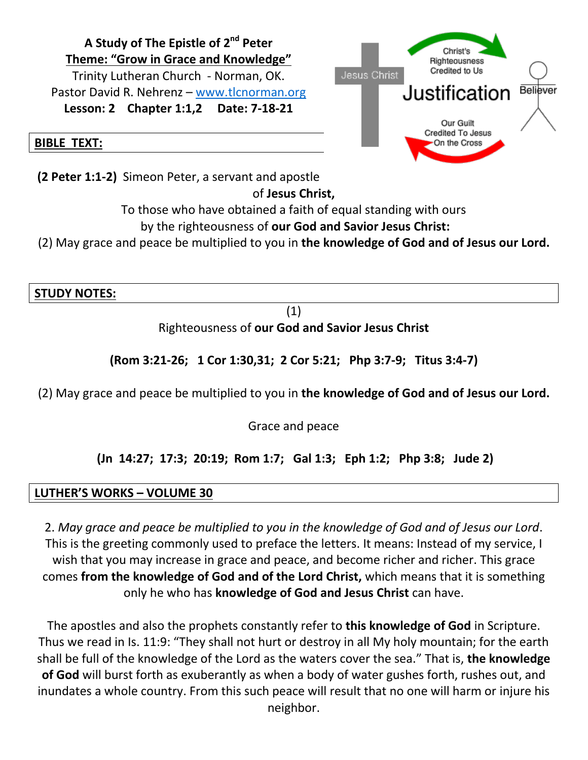

**(2 Peter 1:1-2)** Simeon Peter, a servant and apostle

# of **Jesus Christ,**

To those who have obtained a faith of equal standing with ours

### by the righteousness of **our God and Savior Jesus Christ:**

(2) May grace and peace be multiplied to you in **the knowledge of God and of Jesus our Lord.**

**STUDY NOTES:**

(1)

Righteousness of **our God and Savior Jesus Christ**

**(Rom 3:21-26; 1 Cor 1:30,31; 2 Cor 5:21; Php 3:7-9; Titus 3:4-7)**

(2) May grace and peace be multiplied to you in **the knowledge of God and of Jesus our Lord.**

Grace and peace

# **(Jn 14:27; 17:3; 20:19; Rom 1:7; Gal 1:3; Eph 1:2; Php 3:8; Jude 2)**

# **LUTHER'S WORKS – VOLUME 30**

2. *May grace and peace be multiplied to you in the knowledge of God and of Jesus our Lord*. This is the greeting commonly used to preface the letters. It means: Instead of my service, I wish that you may increase in grace and peace, and become richer and richer. This grace comes **from the knowledge of God and of the Lord Christ,** which means that it is something only he who has **knowledge of God and Jesus Christ** can have.

The apostles and also the prophets constantly refer to **this knowledge of God** in Scripture. Thus we read in Is. 11:9: "They shall not hurt or destroy in all My holy mountain; for the earth shall be full of the knowledge of the Lord as the waters cover the sea." That is, **the knowledge of God** will burst forth as exuberantly as when a body of water gushes forth, rushes out, and inundates a whole country. From this such peace will result that no one will harm or injure his neighbor.